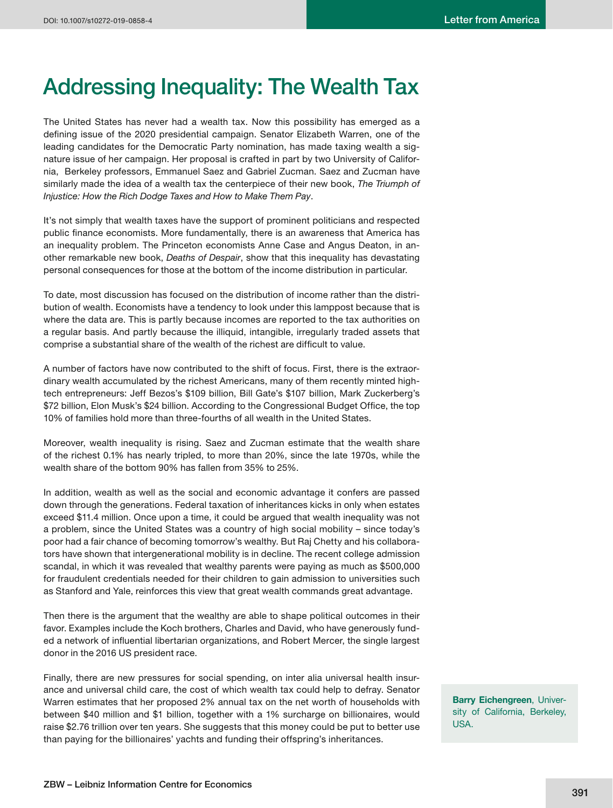## **Addressing Inequality: The Wealth Tax**

The United States has never had a wealth tax. Now this possibility has emerged as a defining issue of the 2020 presidential campaign. Senator Elizabeth Warren, one of the leading candidates for the Democratic Party nomination, has made taxing wealth a signature issue of her campaign. Her proposal is crafted in part by two University of California, Berkeley professors, Emmanuel Saez and Gabriel Zucman. Saez and Zucman have similarly made the idea of a wealth tax the centerpiece of their new book, *The Triumph of Injustice: How the Rich Dodge Taxes and How to Make Them Pay*.

It's not simply that wealth taxes have the support of prominent politicians and respected public finance economists. More fundamentally, there is an awareness that America has an inequality problem. The Princeton economists Anne Case and Angus Deaton, in another remarkable new book, *Deaths of Despair*, show that this inequality has devastating personal consequences for those at the bottom of the income distribution in particular.

To date, most discussion has focused on the distribution of income rather than the distribution of wealth. Economists have a tendency to look under this lamppost because that is where the data are. This is partly because incomes are reported to the tax authorities on a regular basis. And partly because the illiquid, intangible, irregularly traded assets that comprise a substantial share of the wealth of the richest are difficult to value.

A number of factors have now contributed to the shift of focus. First, there is the extraordinary wealth accumulated by the richest Americans, many of them recently minted hightech entrepreneurs: Jeff Bezos's \$109 billion, Bill Gate's \$107 billion, Mark Zuckerberg's \$72 billion, Elon Musk's \$24 billion. According to the Congressional Budget Office, the top 10% of families hold more than three-fourths of all wealth in the United States.

Moreover, wealth inequality is rising. Saez and Zucman estimate that the wealth share of the richest 0.1% has nearly tripled, to more than 20%, since the late 1970s, while the wealth share of the bottom 90% has fallen from 35% to 25%.

In addition, wealth as well as the social and economic advantage it confers are passed down through the generations. Federal taxation of inheritances kicks in only when estates exceed \$11.4 million. Once upon a time, it could be argued that wealth inequality was not a problem, since the United States was a country of high social mobility – since today's poor had a fair chance of becoming tomorrow's wealthy. But Raj Chetty and his collaborators have shown that intergenerational mobility is in decline. The recent college admission scandal, in which it was revealed that wealthy parents were paying as much as \$500,000 for fraudulent credentials needed for their children to gain admission to universities such as Stanford and Yale, reinforces this view that great wealth commands great advantage.

Then there is the argument that the wealthy are able to shape political outcomes in their favor. Examples include the Koch brothers, Charles and David, who have generously funded a network of influential libertarian organizations, and Robert Mercer, the single largest donor in the 2016 US president race.

Finally, there are new pressures for social spending, on inter alia universal health insurance and universal child care, the cost of which wealth tax could help to defray. Senator Warren estimates that her proposed 2% annual tax on the net worth of households with between \$40 million and \$1 billion, together with a 1% surcharge on billionaires, would raise \$2.76 trillion over ten years. She suggests that this money could be put to better use than paying for the billionaires' yachts and funding their offspring's inheritances.

**Barry Eichengreen**, University of California, Berkeley, USA.